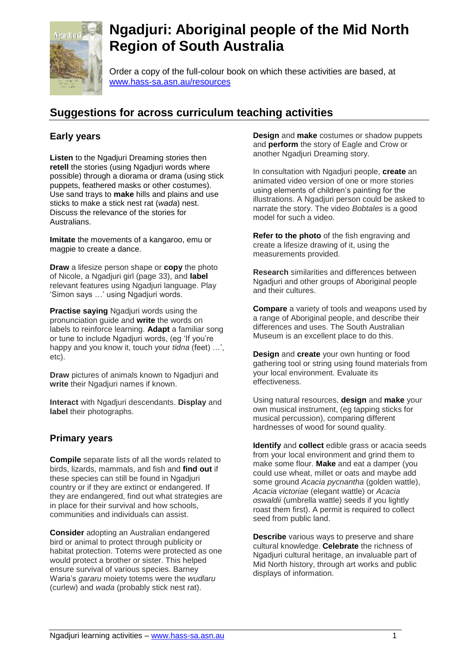

# **Ngadjuri: Aboriginal people of the Mid North Region of South Australia**

Order a copy of the full-colour book on which these activities are based, at www.hass-sa.asn.au/resources

## **Suggestions for across curriculum teaching activities**

### **Early years**

**Listen** to the Ngadjuri Dreaming stories then **retell** the stories (using Ngadjuri words where possible) through a diorama or drama (using stick puppets, feathered masks or other costumes). Use sand trays to **make** hills and plains and use sticks to make a stick nest rat (*wada*) nest. Discuss the relevance of the stories for Australians.

**Imitate** the movements of a kangaroo, emu or magpie to create a dance.

**Draw** a lifesize person shape or **copy** the photo of Nicole, a Ngadjuri girl (page 33), and **label**  relevant features using Ngadjuri language. Play 'Simon says …' using Ngadjuri words.

**Practise saying** Ngadjuri words using the pronunciation guide and **write** the words on labels to reinforce learning. **Adapt** a familiar song or tune to include Ngadjuri words, (eg 'If you're happy and you know it, touch your *tidna* (feet) …', etc).

**Draw** pictures of animals known to Ngadjuri and **write** their Ngadjuri names if known.

**Interact** with Ngadjuri descendants. **Display** and **label** their photographs.

#### **Primary years**

**Compile** separate lists of all the words related to birds, lizards, mammals, and fish and **find out** if these species can still be found in Ngadjuri country or if they are extinct or endangered. If they are endangered, find out what strategies are in place for their survival and how schools, communities and individuals can assist.

**Consider** adopting an Australian endangered bird or animal to protect through publicity or habitat protection. Totems were protected as one would protect a brother or sister. This helped ensure survival of various species. Barney Waria's *gararu* moiety totems were the *wudlaru*  (curlew) and *wada* (probably stick nest rat).

**Design** and **make** costumes or shadow puppets and **perform** the story of Eagle and Crow or another Ngadjuri Dreaming story.

In consultation with Ngadjuri people, **create** an animated video version of one or more stories using elements of children's painting for the illustrations. A Ngadjuri person could be asked to narrate the story. The video *Bobtales* is a good model for such a video.

**Refer to the photo** of the fish engraving and create a lifesize drawing of it, using the measurements provided.

**Research** similarities and differences between Ngadjuri and other groups of Aboriginal people and their cultures.

**Compare** a variety of tools and weapons used by a range of Aboriginal people, and describe their differences and uses. The South Australian Museum is an excellent place to do this.

**Design** and **create** your own hunting or food gathering tool or string using found materials from your local environment. Evaluate its effectiveness.

Using natural resources, **design** and **make** your own musical instrument, (eg tapping sticks for musical percussion), comparing different hardnesses of wood for sound quality.

**Identify** and **collect** edible grass or acacia seeds from your local environment and grind them to make some flour. **Make** and eat a damper (you could use wheat, millet or oats and maybe add some ground *Acacia pycnantha* (golden wattle), *Acacia victoriae* (elegant wattle) or *Acacia oswaldii* (umbrella wattle) seeds if you lightly roast them first). A permit is required to collect seed from public land.

**Describe** various ways to preserve and share cultural knowledge. **Celebrate** the richness of Ngadjuri cultural heritage, an invaluable part of Mid North history, through art works and public displays of information.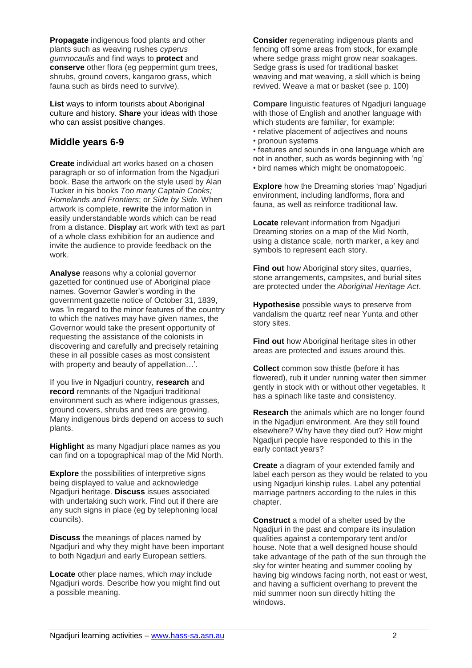**Propagate** indigenous food plants and other plants such as weaving rushes *cyperus gumnocaulis* and find ways to **protect** and **conserve** other flora (eg peppermint gum trees, shrubs, ground covers, kangaroo grass, which fauna such as birds need to survive).

**List** ways to inform tourists about Aboriginal culture and history. **Share** your ideas with those who can assist positive changes.

#### **Middle years 6-9**

**Create** individual art works based on a chosen paragraph or so of information from the Ngadjuri book. Base the artwork on the style used by Alan Tucker in his books *Too many Captain Cooks; Homelands and Frontiers*; or *Side by Side.* When artwork is complete, **rewrite** the information in easily understandable words which can be read from a distance. **Display** art work with text as part of a whole class exhibition for an audience and invite the audience to provide feedback on the work.

**Analyse** reasons why a colonial governor gazetted for continued use of Aboriginal place names. Governor Gawler's wording in the government gazette notice of October 31, 1839, was 'In regard to the minor features of the country to which the natives may have given names, the Governor would take the present opportunity of requesting the assistance of the colonists in discovering and carefully and precisely retaining these in all possible cases as most consistent with property and beauty of appellation…'.

If you live in Ngadjuri country, **research** and **record** remnants of the Ngadjuri traditional environment such as where indigenous grasses, ground covers, shrubs and trees are growing. Many indigenous birds depend on access to such plants.

**Highlight** as many Ngadjuri place names as you can find on a topographical map of the Mid North.

**Explore** the possibilities of interpretive signs being displayed to value and acknowledge Ngadjuri heritage. **Discuss** issues associated with undertaking such work. Find out if there are any such signs in place (eg by telephoning local councils).

**Discuss** the meanings of places named by Ngadjuri and why they might have been important to both Ngadjuri and early European settlers.

**Locate** other place names, which *may* include Ngadjuri words. Describe how you might find out a possible meaning.

**Consider** regenerating indigenous plants and fencing off some areas from stock, for example where sedge grass might grow near soakages. Sedge grass is used for traditional basket weaving and mat weaving, a skill which is being revived. Weave a mat or basket (see p. 100)

**Compare** linguistic features of Ngadiuri language with those of English and another language with which students are familiar, for example:

- relative placement of adjectives and nouns • pronoun systems
- features and sounds in one language which are not in another, such as words beginning with 'ng' • bird names which might be onomatopoeic.

**Explore** how the Dreaming stories 'map' Ngadjuri environment, including landforms, flora and fauna, as well as reinforce traditional law.

**Locate** relevant information from Ngadjuri Dreaming stories on a map of the Mid North, using a distance scale, north marker, a key and symbols to represent each story.

**Find out** how Aboriginal story sites, quarries, stone arrangements, campsites, and burial sites are protected under the *Aboriginal Heritage Act*.

**Hypothesise** possible ways to preserve from vandalism the quartz reef near Yunta and other story sites.

**Find out** how Aboriginal heritage sites in other areas are protected and issues around this.

**Collect** common sow thistle (before it has flowered), rub it under running water then simmer gently in stock with or without other vegetables. It has a spinach like taste and consistency.

**Research** the animals which are no longer found in the Ngadjuri environment. Are they still found elsewhere? Why have they died out? How might Ngadjuri people have responded to this in the early contact years?

**Create** a diagram of your extended family and label each person as they would be related to you using Ngadjuri kinship rules. Label any potential marriage partners according to the rules in this chapter.

**Construct** a model of a shelter used by the Ngadjuri in the past and compare its insulation qualities against a contemporary tent and/or house. Note that a well designed house should take advantage of the path of the sun through the sky for winter heating and summer cooling by having big windows facing north, not east or west, and having a sufficient overhang to prevent the mid summer noon sun directly hitting the windows.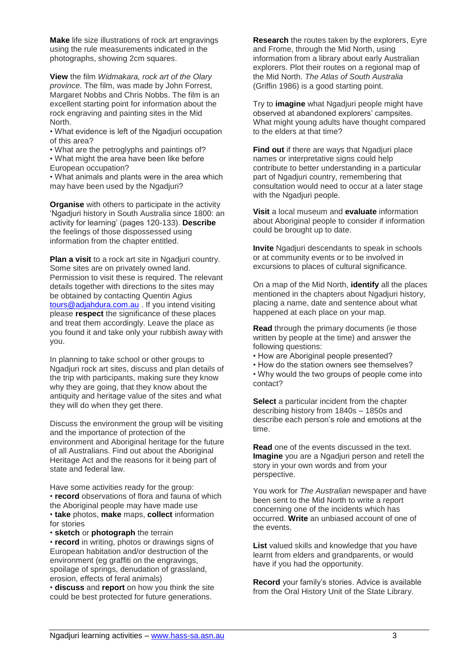**Make** life size illustrations of rock art engravings using the rule measurements indicated in the photographs, showing 2cm squares.

**View** the film *Widmakara, rock art of the Olary province*. The film, was made by John Forrest, Margaret Nobbs and Chris Nobbs. The film is an excellent starting point for information about the rock engraving and painting sites in the Mid North.

• What evidence is left of the Ngadjuri occupation of this area?

• What are the petroglyphs and paintings of?

• What might the area have been like before European occupation?

• What animals and plants were in the area which may have been used by the Ngadjuri?

**Organise** with others to participate in the activity 'Ngadjuri history in South Australia since 1800: an activity for learning' (pages 120-133). **Describe**  the feelings of those dispossessed using information from the chapter entitled.

**Plan a visit** to a rock art site in Ngadjuri country. Some sites are on privately owned land. Permission to visit these is required. The relevant details together with directions to the sites may be obtained by contacting Quentin Agius [tours@adjahdura.com.au](mailto:tours@adjahdura.com.au) . If you intend visiting please **respect** the significance of these places and treat them accordingly. Leave the place as you found it and take only your rubbish away with you.

In planning to take school or other groups to Ngadjuri rock art sites, discuss and plan details of the trip with participants, making sure they know why they are going, that they know about the antiquity and heritage value of the sites and what they will do when they get there.

Discuss the environment the group will be visiting and the importance of protection of the environment and Aboriginal heritage for the future of all Australians. Find out about the Aboriginal Heritage Act and the reasons for it being part of state and federal law.

Have some activities ready for the group: • **record** observations of flora and fauna of which the Aboriginal people may have made use • **take** photos, **make** maps, **collect** information for stories

• **sketch** or **photograph** the terrain

• **record** in writing, photos or drawings signs of European habitation and/or destruction of the environment (eg graffiti on the engravings, spoilage of springs, denudation of grassland, erosion, effects of feral animals)

• **discuss** and **report** on how you think the site could be best protected for future generations.

**Research** the routes taken by the explorers, Eyre and Frome, through the Mid North, using information from a library about early Australian explorers. Plot their routes on a regional map of the Mid North. *The Atlas of South Australia*  (Griffin 1986) is a good starting point.

Try to **imagine** what Ngadjuri people might have observed at abandoned explorers' campsites. What might young adults have thought compared to the elders at that time?

**Find out** if there are ways that Ngadjuri place names or interpretative signs could help contribute to better understanding in a particular part of Ngadjuri country, remembering that consultation would need to occur at a later stage with the Ngadjuri people.

**Visit** a local museum and **evaluate** information about Aboriginal people to consider if information could be brought up to date.

**Invite** Ngadjuri descendants to speak in schools or at community events or to be involved in excursions to places of cultural significance.

On a map of the Mid North, **identify** all the places mentioned in the chapters about Ngadiuri history. placing a name, date and sentence about what happened at each place on your map.

**Read** through the primary documents (ie those written by people at the time) and answer the following questions:

- How are Aboriginal people presented?
- How do the station owners see themselves?
- Why would the two groups of people come into contact?

**Select** a particular incident from the chapter describing history from 1840s – 1850s and describe each person's role and emotions at the time.

**Read** one of the events discussed in the text. **Imagine** you are a Ngadjuri person and retell the story in your own words and from your perspective.

You work for *The Australian* newspaper and have been sent to the Mid North to write a report concerning one of the incidents which has occurred. **Write** an unbiased account of one of the events.

**List** valued skills and knowledge that you have learnt from elders and grandparents, or would have if you had the opportunity.

**Record** your family's stories. Advice is available from the Oral History Unit of the State Library.